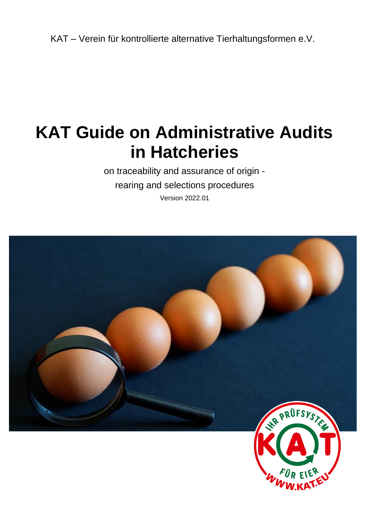KAT – Verein für kontrollierte alternative Tierhaltungsformen e.V.

# **KAT Guide on Administrative Audits in Hatcheries**

on traceability and assurance of origin rearing and selections procedures Version 2022.01

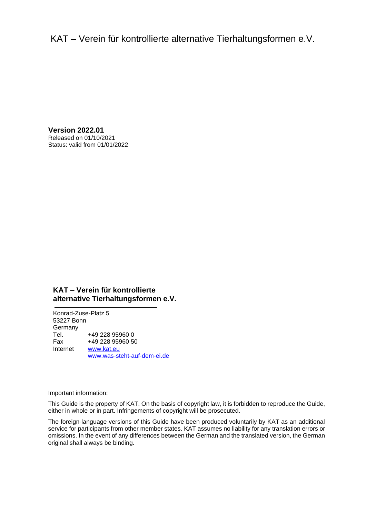KAT – Verein für kontrollierte alternative Tierhaltungsformen e.V.

**Version 2022.01** Released on 01/10/2021 Status: valid from 01/01/2022

#### **KAT – Verein für kontrollierte alternative Tierhaltungsformen e.V.**

Konrad-Zuse-Platz 5 53227 Bonn Germany Tel. +49 228 95960 0 Fax +49 228 95960 50 Internet [www.kat.eu](http://www.kat.eu/) [www.was-steht-auf-dem-ei.de](file://///kat-fs01/Kontrollen/KAT/Prüfsystematik%20und%20Leitfäden/1.%20KAT-Prüfsystematik%20und%20Leitfäden%202017-2020/2_Leitfäden/In%20Bearbeitung/Vorlage/www.was-steht-auf-dem-ei.de)

Important information:

This Guide is the property of KAT. On the basis of copyright law, it is forbidden to reproduce the Guide, either in whole or in part. Infringements of copyright will be prosecuted.

The foreign-language versions of this Guide have been produced voluntarily by KAT as an additional service for participants from other member states. KAT assumes no liability for any translation errors or omissions. In the event of any differences between the German and the translated version, the German original shall always be binding.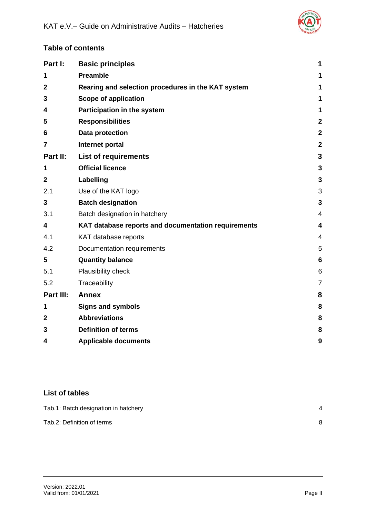![](_page_2_Picture_1.jpeg)

# **Table of contents**

| Part I:        | <b>Basic principles</b>                             | 1              |
|----------------|-----------------------------------------------------|----------------|
| 1              | <b>Preamble</b>                                     | 1              |
| $\mathbf{2}$   | Rearing and selection procedures in the KAT system  | 1              |
| 3              | <b>Scope of application</b>                         | 1              |
| 4              | Participation in the system                         | 1              |
| 5              | <b>Responsibilities</b>                             | 2              |
| 6              | Data protection                                     | 2              |
| 7              | Internet portal                                     | $\overline{a}$ |
| Part II:       | <b>List of requirements</b>                         | 3              |
| 1              | <b>Official licence</b>                             | 3              |
| $\overline{2}$ | Labelling                                           | 3              |
| 2.1            | Use of the KAT logo                                 | 3              |
| 3              | <b>Batch designation</b>                            | 3              |
| 3.1            | Batch designation in hatchery                       | 4              |
| 4              | KAT database reports and documentation requirements | 4              |
| 4.1            | KAT database reports                                | 4              |
| 4.2            | Documentation requirements                          | 5              |
| 5              | <b>Quantity balance</b>                             | 6              |
| 5.1            | Plausibility check                                  | 6              |
| 5.2            | Traceability                                        | 7              |
| Part III:      | <b>Annex</b>                                        | 8              |
| 1              | <b>Signs and symbols</b>                            | 8              |
| $\overline{2}$ | <b>Abbreviations</b>                                | 8              |
| 3              | <b>Definition of terms</b>                          | 8              |
| 4              | <b>Applicable documents</b>                         | 9              |

# **List of tables**

| Tab.1: Batch designation in hatchery |  |
|--------------------------------------|--|
| Tab.2: Definition of terms           |  |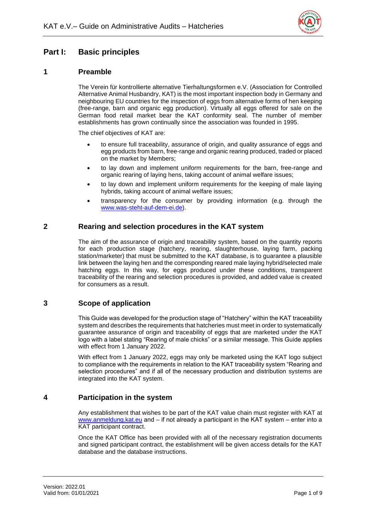![](_page_3_Picture_1.jpeg)

# <span id="page-3-0"></span>**Part I: Basic principles**

## <span id="page-3-1"></span>**1 Preamble**

The Verein für kontrollierte alternative Tierhaltungsformen e.V. (Association for Controlled Alternative Animal Husbandry, KAT) is the most important inspection body in Germany and neighbouring EU countries for the inspection of eggs from alternative forms of hen keeping (free-range, barn and organic egg production). Virtually all eggs offered for sale on the German food retail market bear the KAT conformity seal. The number of member establishments has grown continually since the association was founded in 1995.

The chief objectives of KAT are:

- to ensure full traceability, assurance of origin, and quality assurance of eggs and egg products from barn, free-range and organic rearing produced, traded or placed on the market by Members;
- to lay down and implement uniform requirements for the barn, free-range and organic rearing of laying hens, taking account of animal welfare issues;
- to lay down and implement uniform requirements for the keeping of male laying hybrids, taking account of animal welfare issues;
- transparency for the consumer by providing information (e.g. through the www.was-steht-auf-dem-ei.de).

#### <span id="page-3-2"></span>**2 Rearing and selection procedures in the KAT system**

The aim of the assurance of origin and traceability system, based on the quantity reports for each production stage (hatchery, rearing, slaughterhouse, laying farm, packing station/marketer) that must be submitted to the KAT database, is to guarantee a plausible link between the laying hen and the corresponding reared male laying hybrid/selected male hatching eggs. In this way, for eggs produced under these conditions, transparent traceability of the rearing and selection procedures is provided, and added value is created for consumers as a result.

## <span id="page-3-3"></span>**3 Scope of application**

This Guide was developed for the production stage of "Hatchery" within the KAT traceability system and describes the requirements that hatcheries must meet in order to systematically guarantee assurance of origin and traceability of eggs that are marketed under the KAT logo with a label stating "Rearing of male chicks" or a similar message. This Guide applies with effect from 1 January 2022.

With effect from 1 January 2022, eggs may only be marketed using the KAT logo subject to compliance with the requirements in relation to the KAT traceability system "Rearing and selection procedures" and if all of the necessary production and distribution systems are integrated into the KAT system.

## <span id="page-3-4"></span>**4 Participation in the system**

Any establishment that wishes to be part of the KAT value chain must register with KAT at www.anmeldung.kat.eu and – if not already a participant in the KAT system – enter into a KAT participant contract.

Once the KAT Office has been provided with all of the necessary registration documents and signed participant contract, the establishment will be given access details for the KAT database and the database instructions.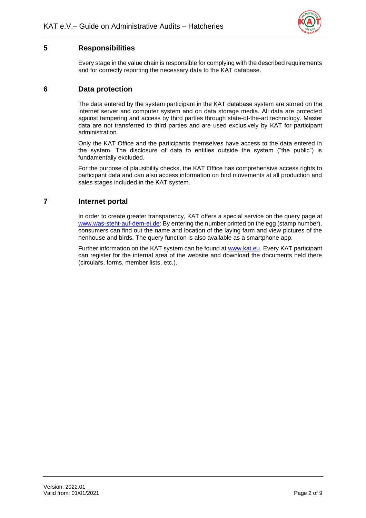![](_page_4_Picture_1.jpeg)

# <span id="page-4-0"></span>**5 Responsibilities**

Every stage in the value chain is responsible for complying with the described requirements and for correctly reporting the necessary data to the KAT database.

## <span id="page-4-1"></span>**6 Data protection**

The data entered by the system participant in the KAT database system are stored on the internet server and computer system and on data storage media. All data are protected against tampering and access by third parties through state-of-the-art technology. Master data are not transferred to third parties and are used exclusively by KAT for participant administration.

Only the KAT Office and the participants themselves have access to the data entered in the system. The disclosure of data to entities outside the system ("the public") is fundamentally excluded.

For the purpose of plausibility checks, the KAT Office has comprehensive access rights to participant data and can also access information on bird movements at all production and sales stages included in the KAT system.

## <span id="page-4-2"></span>**7 Internet portal**

In order to create greater transparency, KAT offers a special service on the query page at www.was-steht-auf-dem-ei.de: By entering the number printed on the egg (stamp number), consumers can find out the name and location of the laying farm and view pictures of the henhouse and birds. The query function is also available as a smartphone app.

Further information on the KAT system can be found at www.kat.eu. Every KAT participant can register for the internal area of the website and download the documents held there (circulars, forms, member lists, etc.).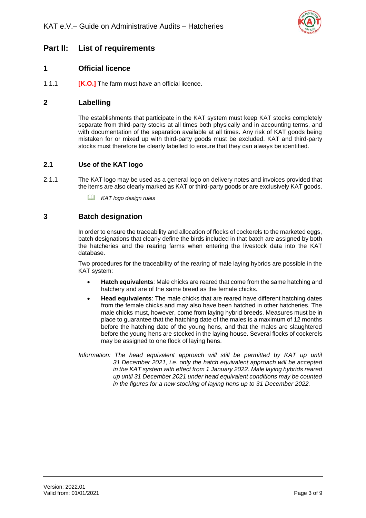![](_page_5_Picture_1.jpeg)

# <span id="page-5-0"></span>**Part II: List of requirements**

## <span id="page-5-1"></span>**1 Official licence**

1.1.1 **[K.O.]** The farm must have an official licence.

## <span id="page-5-2"></span>**2 Labelling**

The establishments that participate in the KAT system must keep KAT stocks completely separate from third-party stocks at all times both physically and in accounting terms, and with documentation of the separation available at all times. Any risk of KAT goods being mistaken for or mixed up with third-party goods must be excluded. KAT and third-party stocks must therefore be clearly labelled to ensure that they can always be identified.

#### <span id="page-5-3"></span>**2.1 Use of the KAT logo**

- 2.1.1 The KAT logo may be used as a general logo on delivery notes and invoices provided that the items are also clearly marked as KAT or third-party goods or are exclusively KAT goods.
	- *KAT logo design rules*

#### <span id="page-5-4"></span>**3 Batch designation**

In order to ensure the traceability and allocation of flocks of cockerels to the marketed eggs, batch designations that clearly define the birds included in that batch are assigned by both the hatcheries and the rearing farms when entering the livestock data into the KAT database.

Two procedures for the traceability of the rearing of male laying hybrids are possible in the KAT system:

- **Hatch equivalents**: Male chicks are reared that come from the same hatching and hatchery and are of the same breed as the female chicks.
- **Head equivalents**: The male chicks that are reared have different hatching dates from the female chicks and may also have been hatched in other hatcheries. The male chicks must, however, come from laying hybrid breeds. Measures must be in place to guarantee that the hatching date of the males is a maximum of 12 months before the hatching date of the young hens, and that the males are slaughtered before the young hens are stocked in the laying house. Several flocks of cockerels may be assigned to one flock of laying hens.
- *Information: The head equivalent approach will still be permitted by KAT up until 31 December 2021, i.e. only the hatch equivalent approach will be accepted in the KAT system with effect from 1 January 2022. Male laying hybrids reared up until 31 December 2021 under head equivalent conditions may be counted in the figures for a new stocking of laying hens up to 31 December 2022.*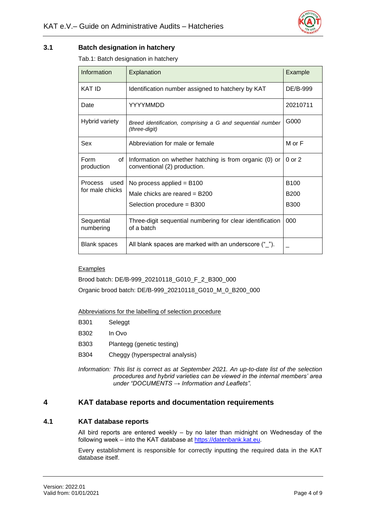![](_page_6_Picture_1.jpeg)

#### <span id="page-6-3"></span><span id="page-6-0"></span>**3.1 Batch designation in hatchery**

Tab.1: Batch designation in hatchery

| Information                | Explanation                                                                            | Example     |
|----------------------------|----------------------------------------------------------------------------------------|-------------|
| <b>KAT ID</b>              | Identification number assigned to hatchery by KAT                                      | DE/B-999    |
| Date                       | YYYYMMDD                                                                               | 20210711    |
| Hybrid variety             | Breed identification, comprising a G and sequential number<br>(three-digit)            | G000        |
| Sex                        | Abbreviation for male or female                                                        | M or F      |
| Form<br>of l<br>production | Information on whether hatching is from organic (0) or<br>conventional (2) production. | $0$ or $2$  |
| used<br><b>Process</b>     | No process applied = $B100$                                                            | <b>B100</b> |
| for male chicks            | Male chicks are reared $=$ B200                                                        | <b>B200</b> |
|                            | Selection procedure = B300                                                             | <b>B300</b> |
| Sequential<br>numbering    | Three-digit sequential numbering for clear identification<br>of a batch                | 000         |
| <b>Blank spaces</b>        | All blank spaces are marked with an underscore $(\text{``})$ .                         |             |

#### Examples

Brood batch: DE/B-999\_20210118\_G010\_F\_2\_B300\_000

Organic brood batch: DE/B-999\_20210118\_G010\_M\_0\_B200\_000

Abbreviations for the labelling of selection procedure

- B301 Seleggt
- B302 In Ovo
- B303 Plantegg (genetic testing)
- B304 Cheggy (hyperspectral analysis)

*Information: This list is correct as at September 2021. An up-to-date list of the selection procedures and hybrid varieties can be viewed in the internal members' area under "DOCUMENTS → Information and Leaflets".*

## <span id="page-6-1"></span>**4 KAT database reports and documentation requirements**

#### <span id="page-6-2"></span>**4.1 KAT database reports**

All bird reports are entered weekly  $-$  by no later than midnight on Wednesday of the following week – into the KAT database at https://datenbank.kat.eu.

Every establishment is responsible for correctly inputting the required data in the KAT database itself.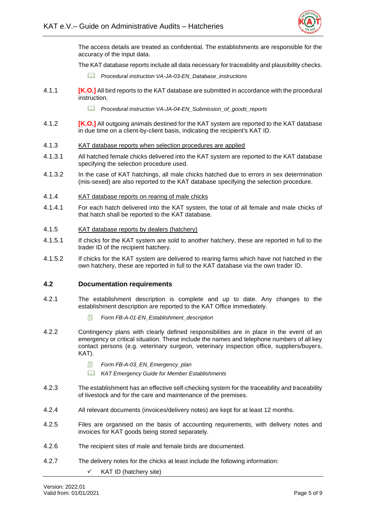![](_page_7_Picture_1.jpeg)

The access details are treated as confidential. The establishments are responsible for the accuracy of the input data.

The KAT database reports include all data necessary for traceability and plausibility checks.

- *Procedural instruction VA-JA-03-EN\_Database\_instructions*
- 4.1.1 **[K.O.]** All bird reports to the KAT database are submitted in accordance with the procedural instruction.
	- *Procedural instruction VA-JA-04-EN\_Submission\_of\_goods\_reports*
- 4.1.2 **[K.O.]** All outgoing animals destined for the KAT system are reported to the KAT database in due time on a client-by-client basis, indicating the recipient's KAT ID.
- 4.1.3 KAT database reports when selection procedures are applied
- 4.1.3.1 All hatched female chicks delivered into the KAT system are reported to the KAT database specifying the selection procedure used.
- 4.1.3.2 In the case of KAT hatchings, all male chicks hatched due to errors in sex determination (mis-sexed) are also reported to the KAT database specifying the selection procedure.
- 4.1.4 KAT database reports on rearing of male chicks
- 4.1.4.1 For each hatch delivered into the KAT system, the total of all female and male chicks of that hatch shall be reported to the KAT database.
- 4.1.5 KAT database reports by dealers (hatchery)
- 4.1.5.1 If chicks for the KAT system are sold to another hatchery, these are reported in full to the trader ID of the recipient hatchery.
- 4.1.5.2 If chicks for the KAT system are delivered to rearing farms which have not hatched in the own hatchery, these are reported in full to the KAT database via the own trader ID.

#### <span id="page-7-0"></span>**4.2 Documentation requirements**

- 4.2.1 The establishment description is complete and up to date. Any changes to the establishment description are reported to the KAT Office immediately.
	- *Form FB-A-01-EN\_Establishment\_description*
- 4.2.2 Contingency plans with clearly defined responsibilities are in place in the event of an emergency or critical situation. These include the names and telephone numbers of all key contact persons (e.g. veterinary surgeon, veterinary inspection office, suppliers/buyers, KAT).
	- *Form FB-A-03\_EN\_Emergency\_plan*
	- *KAT Emergency Guide for Member Establishments*
- 4.2.3 The establishment has an effective self-checking system for the traceability and traceability of livestock and for the care and maintenance of the premises.
- 4.2.4 All relevant documents (invoices/delivery notes) are kept for at least 12 months.
- 4.2.5 Files are organised on the basis of accounting requirements, with delivery notes and invoices for KAT goods being stored separately.
- 4.2.6 The recipient sites of male and female birds are documented.
- 4.2.7 The delivery notes for the chicks at least include the following information:
	- KAT ID (hatchery site)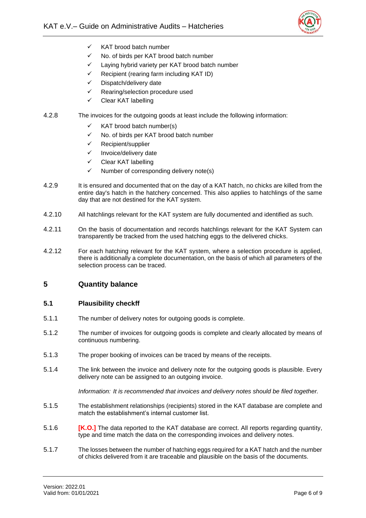![](_page_8_Picture_1.jpeg)

- ✓ KAT brood batch number
- ✓ No. of birds per KAT brood batch number
- ✓ Laying hybrid variety per KAT brood batch number
- $\checkmark$  Recipient (rearing farm including KAT ID)
- Dispatch/delivery date
- ✓ Rearing/selection procedure used
- Clear KAT labelling

#### 4.2.8 The invoices for the outgoing goods at least include the following information:

- $\checkmark$  KAT brood batch number(s)
- ✓ No. of birds per KAT brood batch number
- ✓ Recipient/supplier
- ✓ Invoice/delivery date
- ✓ Clear KAT labelling
- $\checkmark$  Number of corresponding delivery note(s)
- 4.2.9 It is ensured and documented that on the day of a KAT hatch, no chicks are killed from the entire day's hatch in the hatchery concerned. This also applies to hatchlings of the same day that are not destined for the KAT system.
- 4.2.10 All hatchlings relevant for the KAT system are fully documented and identified as such.
- 4.2.11 On the basis of documentation and records hatchlings relevant for the KAT System can transparently be tracked from the used hatching eggs to the delivered chicks.
- 4.2.12 For each hatching relevant for the KAT system, where a selection procedure is applied, there is additionally a complete documentation, on the basis of which all parameters of the selection process can be traced.

## <span id="page-8-0"></span>**5 Quantity balance**

#### <span id="page-8-1"></span>**5.1 Plausibility checkff**

- 5.1.1 The number of delivery notes for outgoing goods is complete.
- 5.1.2 The number of invoices for outgoing goods is complete and clearly allocated by means of continuous numbering.
- 5.1.3 The proper booking of invoices can be traced by means of the receipts.
- 5.1.4 The link between the invoice and delivery note for the outgoing goods is plausible. Every delivery note can be assigned to an outgoing invoice.

*Information: It is recommended that invoices and delivery notes should be filed together.*

- 5.1.5 The establishment relationships (recipients) stored in the KAT database are complete and match the establishment's internal customer list.
- 5.1.6 **[K.O.]** The data reported to the KAT database are correct. All reports regarding quantity, type and time match the data on the corresponding invoices and delivery notes.
- 5.1.7 The losses between the number of hatching eggs required for a KAT hatch and the number of chicks delivered from it are traceable and plausible on the basis of the documents.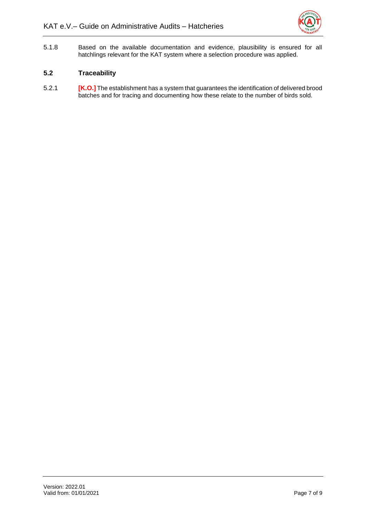![](_page_9_Picture_1.jpeg)

5.1.8 Based on the available documentation and evidence, plausibility is ensured for all hatchlings relevant for the KAT system where a selection procedure was applied.

#### <span id="page-9-0"></span>**5.2 Traceability**

5.2.1 **[K.O.]** The establishment has a system that guarantees the identification of delivered brood batches and for tracing and documenting how these relate to the number of birds sold.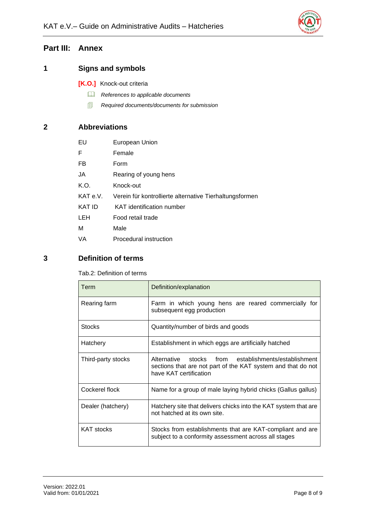![](_page_10_Picture_1.jpeg)

# <span id="page-10-0"></span>**Part III: Annex**

# <span id="page-10-1"></span>**1 Signs and symbols**

- **[K.O.]** Knock-out criteria
	- *References to applicable documents*
	- *Required documents/documents for submission*

# <span id="page-10-2"></span>**2 Abbreviations**

| EU            | European Union                                          |
|---------------|---------------------------------------------------------|
| F             | Female                                                  |
| FB            | Form                                                    |
| JA            | Rearing of young hens                                   |
| K.O.          | Knock-out                                               |
| KAT e.V.      | Verein für kontrollierte alternative Tierhaltungsformen |
| <b>KAT ID</b> | KAT identification number                               |
| <b>LEH</b>    | Food retail trade                                       |
| M             | Male                                                    |
| VA            | Procedural instruction                                  |

# <span id="page-10-4"></span><span id="page-10-3"></span>**3 Definition of terms**

Tab.2: Definition of terms

| Term               | Definition/explanation                                                                                                                         |
|--------------------|------------------------------------------------------------------------------------------------------------------------------------------------|
| Rearing farm       | Farm in which young hens are reared commercially for<br>subsequent egg production                                                              |
| <b>Stocks</b>      | Quantity/number of birds and goods                                                                                                             |
| Hatchery           | Establishment in which eggs are artificially hatched                                                                                           |
| Third-party stocks | Alternative stocks from establishments/establishment<br>sections that are not part of the KAT system and that do not<br>have KAT certification |
| Cockerel flock     | Name for a group of male laying hybrid chicks (Gallus gallus)                                                                                  |
| Dealer (hatchery)  | Hatchery site that delivers chicks into the KAT system that are<br>not hatched at its own site.                                                |
| <b>KAT stocks</b>  | Stocks from establishments that are KAT-compliant and are<br>subject to a conformity assessment across all stages                              |